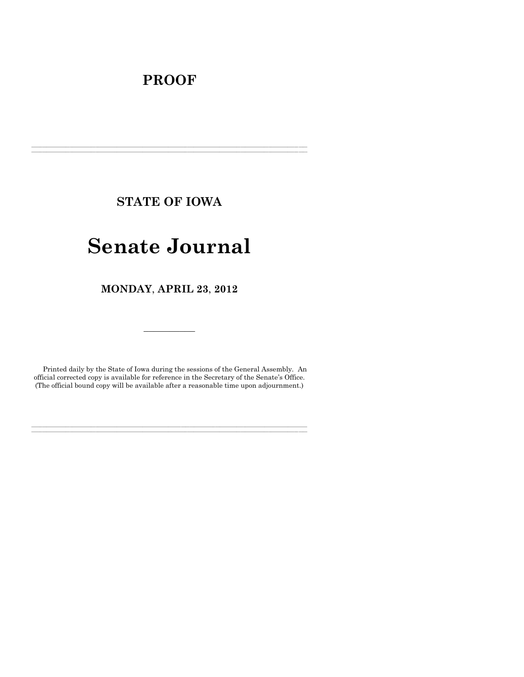# **PROOF**

**STATE OF IOWA**

**\_\_\_\_\_\_\_\_\_\_\_\_\_\_\_\_\_\_\_\_\_\_\_\_\_\_\_\_\_\_\_\_\_\_\_\_\_\_\_\_\_\_\_\_\_\_\_\_\_\_\_\_\_\_\_\_\_\_\_\_\_\_\_\_\_\_\_\_\_\_\_\_\_\_\_\_\_\_\_\_\_\_\_\_\_\_\_\_\_\_\_\_\_\_\_\_\_\_\_\_\_\_\_\_\_\_\_\_\_\_\_\_\_\_\_\_\_\_\_\_\_\_\_\_\_\_\_\_\_ \_\_\_\_\_\_\_\_\_\_\_\_\_\_\_\_\_\_\_\_\_\_\_\_\_\_\_\_\_\_\_\_\_\_\_\_\_\_\_\_\_\_\_\_\_\_\_\_\_\_\_\_\_\_\_\_\_\_\_\_\_\_\_\_\_\_\_\_\_\_\_\_\_\_\_\_\_\_\_\_\_\_\_\_\_\_\_\_\_\_\_\_\_\_\_\_\_\_\_\_\_\_\_\_\_\_\_\_\_\_\_\_\_\_\_\_\_\_\_\_\_\_\_\_\_\_\_\_\_**

# **Senate Journal**

**MONDAY**, **APRIL 23**, **2012**

Printed daily by the State of Iowa during the sessions of the General Assembly. An official corrected copy is available for reference in the Secretary of the Senate's Office. (The official bound copy will be available after a reasonable time upon adjournment.)

**\_\_\_\_\_\_\_\_\_\_\_\_\_\_\_\_\_\_\_\_\_\_\_\_\_\_\_\_\_\_\_\_\_\_\_\_\_\_\_\_\_\_\_\_\_\_\_\_\_\_\_\_\_\_\_\_\_\_\_\_\_\_\_\_\_\_\_\_\_\_\_\_\_\_\_\_\_\_\_\_\_\_\_\_\_\_\_\_\_\_\_\_\_\_\_\_\_\_\_\_\_\_\_\_\_\_\_\_\_\_\_\_\_\_\_\_\_\_\_\_\_\_\_\_\_\_\_\_\_ \_\_\_\_\_\_\_\_\_\_\_\_\_\_\_\_\_\_\_\_\_\_\_\_\_\_\_\_\_\_\_\_\_\_\_\_\_\_\_\_\_\_\_\_\_\_\_\_\_\_\_\_\_\_\_\_\_\_\_\_\_\_\_\_\_\_\_\_\_\_\_\_\_\_\_\_\_\_\_\_\_\_\_\_\_\_\_\_\_\_\_\_\_\_\_\_\_\_\_\_\_\_\_\_\_\_\_\_\_\_\_\_\_\_\_\_\_\_\_\_\_\_\_\_\_\_\_\_\_**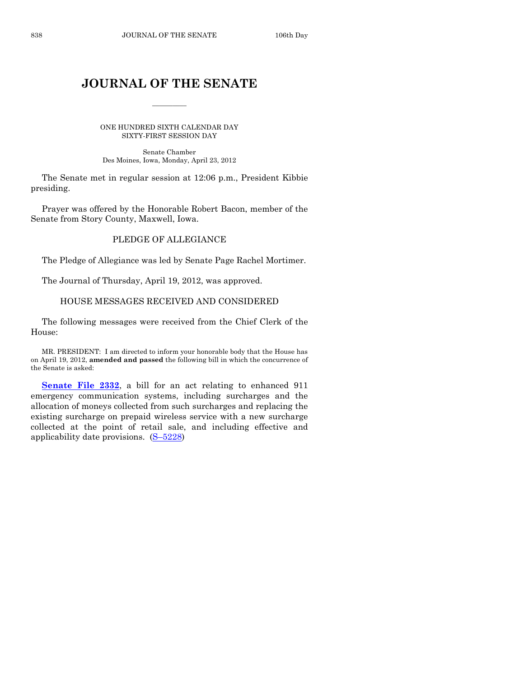# **JOURNAL OF THE SENATE**

 $\frac{1}{2}$ 

ONE HUNDRED SIXTH CALENDAR DAY SIXTY-FIRST SESSION DAY

Senate Chamber Des Moines, Iowa, Monday, April 23, 2012

The Senate met in regular session at 12:06 p.m., President Kibbie presiding.

Prayer was offered by the Honorable Robert Bacon, member of the Senate from Story County, Maxwell, Iowa.

# PLEDGE OF ALLEGIANCE

The Pledge of Allegiance was led by Senate Page Rachel Mortimer.

The Journal of Thursday, April 19, 2012, was approved.

### HOUSE MESSAGES RECEIVED AND CONSIDERED

The following messages were received from the Chief Clerk of the House:

MR. PRESIDENT: I am directed to inform your honorable body that the House has on April 19, 2012, **amended and passed** the following bill in which the concurrence of the Senate is asked:

**[Senate File 2332](http://coolice.legis.state.ia.us/Cool-ICE/default.asp?Category=billinfo&Service=Billbook&frame=1&GA=84&hbill=SF2332)**, a bill for an act relating to enhanced 911 emergency communication systems, including surcharges and the allocation of moneys collected from such surcharges and replacing the existing surcharge on prepaid wireless service with a new surcharge collected at the point of retail sale, and including effective and applicability date provisions. (S–[5228\)](http://coolice.legis.state.ia.us/Cool-ICE/default.asp?Category=billinfo&Service=Billbook&frame=1&GA=84&hbill=S5228)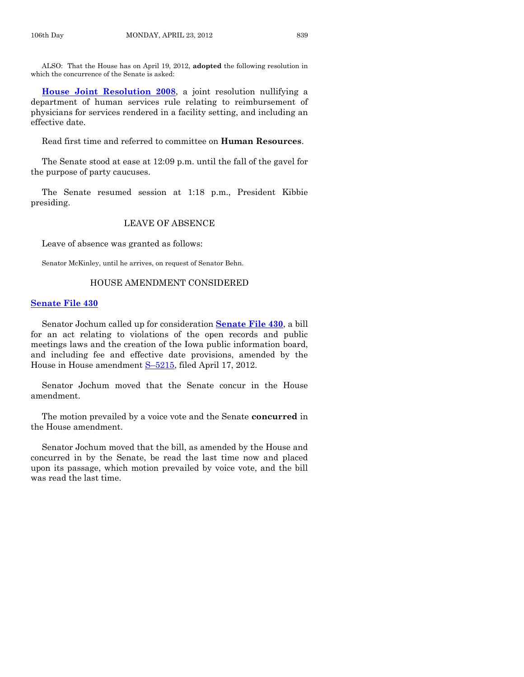ALSO: That the House has on April 19, 2012, **adopted** the following resolution in which the concurrence of the Senate is asked:

**[House Joint Resolution 2008](http://coolice.legis.state.ia.us/Cool-ICE/default.asp?Category=billinfo&Service=Billbook&frame=1&GA=84&hbill=HJR2008)**, a joint resolution nullifying a department of human services rule relating to reimbursement of physicians for services rendered in a facility setting, and including an effective date.

Read first time and referred to committee on **Human Resources**.

The Senate stood at ease at 12:09 p.m. until the fall of the gavel for the purpose of party caucuses.

The Senate resumed session at 1:18 p.m., President Kibbie presiding.

## LEAVE OF ABSENCE

Leave of absence was granted as follows:

Senator McKinley, until he arrives, on request of Senator Behn.

### HOUSE AMENDMENT CONSIDERED

#### **[Senate File 430](http://coolice.legis.state.ia.us/Cool-ICE/default.asp?Category=billinfo&Service=Billbook&frame=1&GA=84&hbill=SF430)**

Senator Jochum called up for consideration **[Senate File 430](http://coolice.legis.state.ia.us/Cool-ICE/default.asp?Category=billinfo&Service=Billbook&frame=1&GA=84&hbill=SF430)**, a bill for an act relating to violations of the open records and public meetings laws and the creation of the Iowa public information board, and including fee and effective date provisions, amended by the House in House amendment S–[5215,](http://coolice.legis.state.ia.us/Cool-ICE/default.asp?Category=billinfo&Service=Billbook&frame=1&GA=84&hbill=S5215) filed April 17, 2012.

Senator Jochum moved that the Senate concur in the House amendment.

The motion prevailed by a voice vote and the Senate **concurred** in the House amendment.

Senator Jochum moved that the bill, as amended by the House and concurred in by the Senate, be read the last time now and placed upon its passage, which motion prevailed by voice vote, and the bill was read the last time.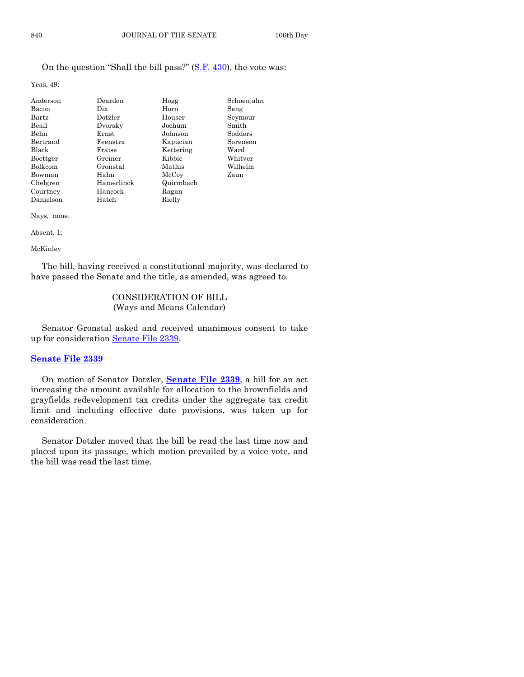# On the question "Shall the bill pass?" [\(S.F. 430\)](http://coolice.legis.state.ia.us/Cool-ICE/default.asp?Category=billinfo&Service=Billbook&frame=1&GA=84&hbill=SF430), the vote was:

Yeas, 49:

| Anderson       | Dearden    |           |            |
|----------------|------------|-----------|------------|
|                |            | Hogg      | Schoenjahn |
| Bacon          | Dix        | Horn      | Seng       |
| Bartz          | Dotzler    | Houser    | Seymour    |
| Beall          | Dvorsky    | Jochum    | Smith      |
| Behn           | Ernst      | Johnson   | Sodders    |
| Bertrand       | Feenstra   | Kapucian  | Sorenson   |
| Black          | Fraise     | Kettering | Ward       |
| Boettger       | Greiner    | Kibbie    | Whitver    |
| <b>Bolkcom</b> | Gronstal   | Mathis    | Wilhelm    |
| Bowman         | Hahn       | McCoy     | Zaun       |
| Chelgren       | Hamerlinck | Quirmbach |            |
| Courtney       | Hancock    | Ragan     |            |
| Danielson      | Hatch      | Rielly    |            |

Nays, none.

#### Absent, 1:

#### McKinley

The bill, having received a constitutional majority, was declared to have passed the Senate and the title, as amended, was agreed to.

# CONSIDERATION OF BILL (Ways and Means Calendar)

Senator Gronstal asked and received unanimous consent to take up for consideration [Senate File 2339.](http://coolice.legis.state.ia.us/Cool-ICE/default.asp?Category=billinfo&Service=Billbook&frame=1&GA=84&hbill=SF2339)

# **[Senate File 2339](http://coolice.legis.state.ia.us/Cool-ICE/default.asp?Category=billinfo&Service=Billbook&frame=1&GA=84&hbill=SF2339)**

On motion of Senator Dotzler, **[Senate File 2339](http://coolice.legis.state.ia.us/Cool-ICE/default.asp?Category=billinfo&Service=Billbook&frame=1&GA=84&hbill=SF2339)**, a bill for an act increasing the amount available for allocation to the brownfields and grayfields redevelopment tax credits under the aggregate tax credit limit and including effective date provisions, was taken up for consideration.

Senator Dotzler moved that the bill be read the last time now and placed upon its passage, which motion prevailed by a voice vote, and the bill was read the last time.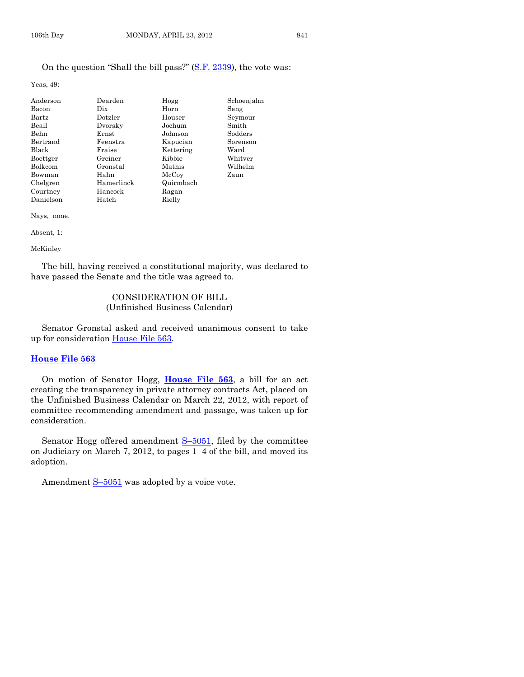Yeas, 49:

| Anderson  | Dearden    | Hogg      | Schoenjahn |
|-----------|------------|-----------|------------|
| Bacon     | Dix        | Horn      | Seng       |
| Bartz     | Dotzler    | Houser    | Seymour    |
| Beall     | Dvorsky    | Jochum    | Smith      |
| Behn      | Ernst      | Johnson   | Sodders    |
| Bertrand  | Feenstra   | Kapucian  | Sorenson   |
| Black     | Fraise     | Kettering | Ward       |
| Boettger  | Greiner    | Kibbie    | Whitver    |
| Bolkcom   | Gronstal   | Mathis    | Wilhelm    |
| Bowman    | Hahn       | McCoy     | Zaun       |
| Chelgren  | Hamerlinck | Quirmbach |            |
| Courtney  | Hancock    | Ragan     |            |
| Danielson | Hatch      | Rielly    |            |

Nays, none.

Absent, 1:

McKinley

The bill, having received a constitutional majority, was declared to have passed the Senate and the title was agreed to.

# CONSIDERATION OF BILL (Unfinished Business Calendar)

Senator Gronstal asked and received unanimous consent to take up for consideration [House File 563.](http://coolice.legis.state.ia.us/Cool-ICE/default.asp?Category=billinfo&Service=Billbook&frame=1&GA=84&hbill=HF563)

#### **[House File 563](http://coolice.legis.state.ia.us/Cool-ICE/default.asp?Category=billinfo&Service=Billbook&frame=1&GA=84&hbill=HF563)**

On motion of Senator Hogg, **[House File 563](http://coolice.legis.state.ia.us/Cool-ICE/default.asp?Category=billinfo&Service=Billbook&frame=1&GA=84&hbill=HF563)**, a bill for an act creating the transparency in private attorney contracts Act, placed on the Unfinished Business Calendar on March 22, 2012, with report of committee recommending amendment and passage, was taken up for consideration.

Senator Hogg offered amendment S-[5051,](http://coolice.legis.state.ia.us/Cool-ICE/default.asp?Category=billinfo&Service=Billbook&frame=1&GA=84&hbill=S5051) filed by the committee on Judiciary on March 7, 2012, to pages 1–4 of the bill, and moved its adoption.

Amendment  $S-5051$  $S-5051$  was adopted by a voice vote.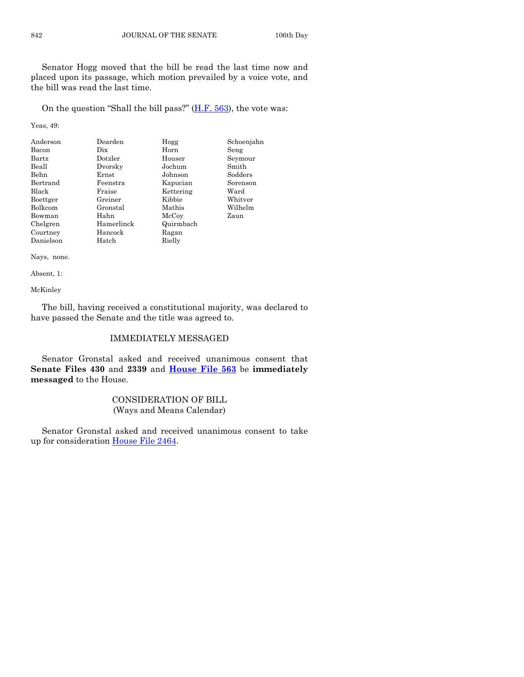Senator Hogg moved that the bill be read the last time now and placed upon its passage, which motion prevailed by a voice vote, and the bill was read the last time.

On the question "Shall the bill pass?" [\(H.F. 563\)](http://coolice.legis.state.ia.us/Cool-ICE/default.asp?Category=billinfo&Service=Billbook&frame=1&GA=84&hbill=HF563), the vote was:

Yeas, 49:

| Anderson     | Dearden    | Hogg      | Schoenjahn |
|--------------|------------|-----------|------------|
| Bacon        | Dix.       | Horn      | Seng       |
| Bartz        | Dotzler    | Houser    | Seymour    |
| Beall        | Dvorsky    | Jochum    | Smith      |
| Behn         | Ernst      | Johnson   | Sodders    |
| Bertrand     | Feenstra   | Kapucian  | Sorenson   |
| <b>Black</b> | Fraise     | Kettering | Ward       |
| Boettger     | Greiner    | Kibbie    | Whitver    |
| Bolkcom      | Gronstal   | Mathis    | Wilhelm    |
| Bowman       | Hahn       | McCoy     | Zaun       |
| Chelgren     | Hamerlinck | Quirmbach |            |
| Courtney     | Hancock    | Ragan     |            |
| Danielson    | Hatch      | Rielly    |            |

Nays, none.

Absent, 1:

McKinley

The bill, having received a constitutional majority, was declared to have passed the Senate and the title was agreed to.

# IMMEDIATELY MESSAGED

Senator Gronstal asked and received unanimous consent that **Senate Files 430** and **2339** and **[House File 563](http://coolice.legis.state.ia.us/Cool-ICE/default.asp?Category=billinfo&Service=Billbook&frame=1&GA=84&hbill=HF563)** be **immediately messaged** to the House.

# CONSIDERATION OF BILL (Ways and Means Calendar)

Senator Gronstal asked and received unanimous consent to take up for consideration [House File 2464.](http://coolice.legis.state.ia.us/Cool-ICE/default.asp?Category=billinfo&Service=Billbook&frame=1&GA=84&hbill=HF2464)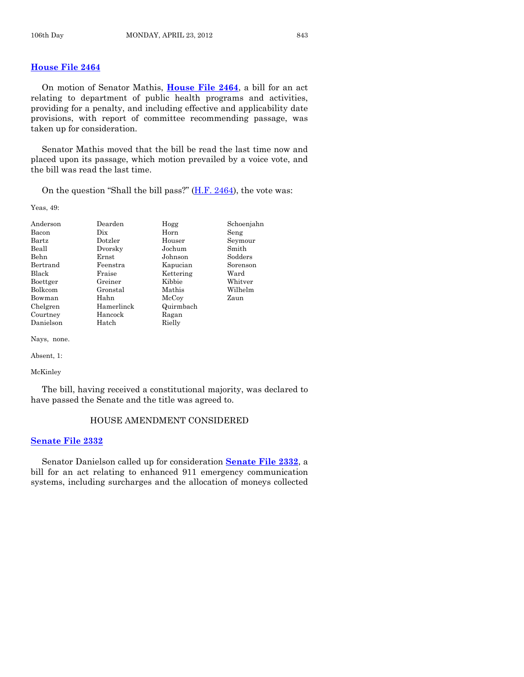# **[House File 2464](http://coolice.legis.state.ia.us/Cool-ICE/default.asp?Category=billinfo&Service=Billbook&frame=1&GA=84&hbill=HF2464)**

On motion of Senator Mathis, **[House File 2464](http://coolice.legis.state.ia.us/Cool-ICE/default.asp?Category=billinfo&Service=Billbook&frame=1&GA=84&hbill=HF2464)**, a bill for an act relating to department of public health programs and activities, providing for a penalty, and including effective and applicability date provisions, with report of committee recommending passage, was taken up for consideration.

Senator Mathis moved that the bill be read the last time now and placed upon its passage, which motion prevailed by a voice vote, and the bill was read the last time.

On the question "Shall the bill pass?"  $(H.F. 2464)$ , the vote was:

Yeas, 49:

| Anderson       | Dearden    | Hogg      | Schoenjahn |
|----------------|------------|-----------|------------|
| Bacon          | Dix        | Horn      | Seng       |
| Bartz          | Dotzler    | Houser    | Seymour    |
| Beall          | Dvorsky    | Jochum    | Smith      |
| Behn           | Ernst      | Johnson   | Sodders    |
| Bertrand       | Feenstra   | Kapucian  | Sorenson   |
| Black          | Fraise     | Kettering | Ward       |
| Boettger       | Greiner    | Kibbie    | Whitver    |
| <b>Bolkcom</b> | Gronstal   | Mathis    | Wilhelm    |
| Bowman         | Hahn       | McCoy     | Zaun       |
| Chelgren       | Hamerlinck | Quirmbach |            |
| Courtney       | Hancock    | Ragan     |            |
| Danielson      | Hatch      | Rielly    |            |

Nays, none.

Absent, 1:

McKinley

The bill, having received a constitutional majority, was declared to have passed the Senate and the title was agreed to.

### HOUSE AMENDMENT CONSIDERED

#### **[Senate File 2332](http://coolice.legis.state.ia.us/Cool-ICE/default.asp?Category=billinfo&Service=Billbook&frame=1&GA=84&hbill=SF2332)**

Senator Danielson called up for consideration **[Senate File 2332](http://coolice.legis.state.ia.us/Cool-ICE/default.asp?Category=billinfo&Service=Billbook&frame=1&GA=84&hbill=SF2332)**, a bill for an act relating to enhanced 911 emergency communication systems, including surcharges and the allocation of moneys collected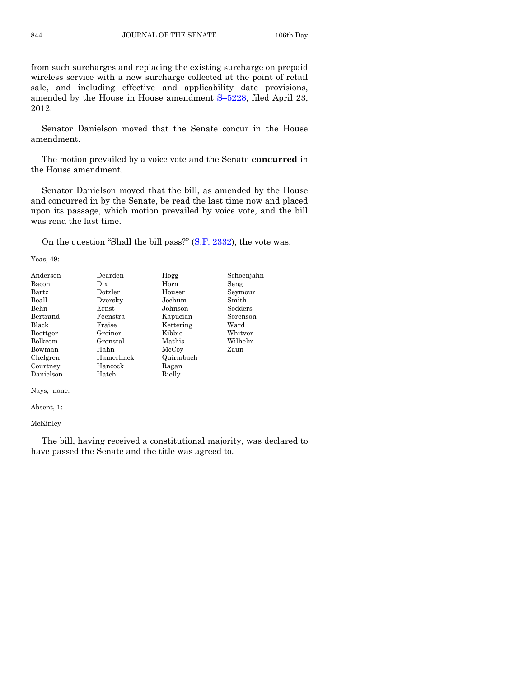from such surcharges and replacing the existing surcharge on prepaid wireless service with a new surcharge collected at the point of retail sale, and including effective and applicability date provisions, amended by the House in House amendment S–[5228,](http://coolice.legis.state.ia.us/Cool-ICE/default.asp?Category=billinfo&Service=Billbook&frame=1&GA=84&hbill=S5228) filed April 23, 2012.

Senator Danielson moved that the Senate concur in the House amendment.

The motion prevailed by a voice vote and the Senate **concurred** in the House amendment.

Senator Danielson moved that the bill, as amended by the House and concurred in by the Senate, be read the last time now and placed upon its passage, which motion prevailed by voice vote, and the bill was read the last time.

On the question "Shall the bill pass?" [\(S.F. 2332\)](http://coolice.legis.state.ia.us/Cool-ICE/default.asp?Category=billinfo&Service=Billbook&frame=1&GA=84&hbill=SF2332), the vote was:

Yeas, 49:

| Anderson  | Dearden    | Hogg      | Schoenjahn |
|-----------|------------|-----------|------------|
| Bacon     | Dix        | Horn      | Seng       |
| Bartz     | Dotzler    | Houser    | Seymour    |
| Beall     | Dvorsky    | Jochum    | Smith      |
| Behn      | Ernst      | Johnson   | Sodders    |
| Bertrand  | Feenstra   | Kapucian  | Sorenson   |
| Black     | Fraise     | Kettering | Ward       |
| Boettger  | Greiner    | Kibbie    | Whitver    |
| Bolkcom   | Gronstal   | Mathis    | Wilhelm    |
| Bowman    | Hahn       | McCoy     | Zaun       |
| Chelgren  | Hamerlinck | Quirmbach |            |
| Courtney  | Hancock    | Ragan     |            |
| Danielson | Hatch      | Rielly    |            |

Nays, none.

Absent, 1:

McKinley

The bill, having received a constitutional majority, was declared to have passed the Senate and the title was agreed to.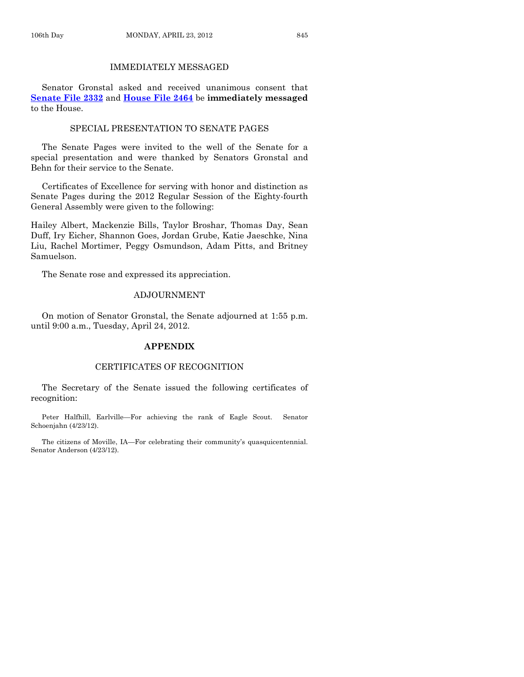# IMMEDIATELY MESSAGED

Senator Gronstal asked and received unanimous consent that **[Senate File 2332](http://coolice.legis.state.ia.us/Cool-ICE/default.asp?Category=billinfo&Service=Billbook&frame=1&GA=84&hbill=SF2332)** and **[House File 2464](http://coolice.legis.state.ia.us/Cool-ICE/default.asp?Category=billinfo&Service=Billbook&frame=1&GA=84&hbill=HF2464)** be **immediately messaged** to the House.

### SPECIAL PRESENTATION TO SENATE PAGES

The Senate Pages were invited to the well of the Senate for a special presentation and were thanked by Senators Gronstal and Behn for their service to the Senate.

Certificates of Excellence for serving with honor and distinction as Senate Pages during the 2012 Regular Session of the Eighty-fourth General Assembly were given to the following:

Hailey Albert, Mackenzie Bills, Taylor Broshar, Thomas Day, Sean Duff, Iry Eicher, Shannon Goes, Jordan Grube, Katie Jaeschke, Nina Liu, Rachel Mortimer, Peggy Osmundson, Adam Pitts, and Britney Samuelson.

The Senate rose and expressed its appreciation.

#### ADJOURNMENT

On motion of Senator Gronstal, the Senate adjourned at 1:55 p.m. until 9:00 a.m., Tuesday, April 24, 2012.

#### **APPENDIX**

# CERTIFICATES OF RECOGNITION

The Secretary of the Senate issued the following certificates of recognition:

Peter Halfhill, Earlville—For achieving the rank of Eagle Scout. Senator Schoenjahn (4/23/12).

The citizens of Moville, IA—For celebrating their community's quasquicentennial. Senator Anderson (4/23/12).